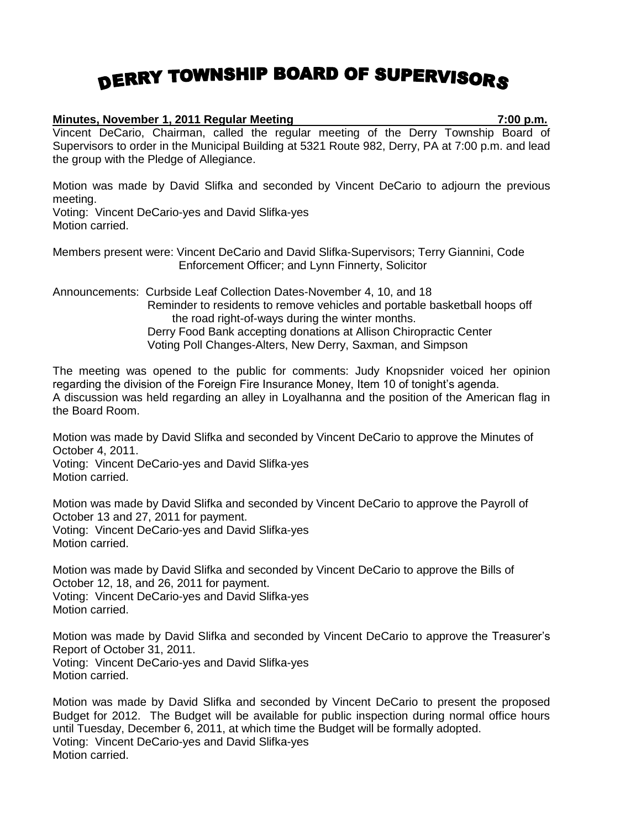## DERRY TOWNSHIP BOARD OF SUPERVISORS

## **Minutes, November 1, 2011 Regular Meeting 7:00 p.m.**

Vincent DeCario, Chairman, called the regular meeting of the Derry Township Board of Supervisors to order in the Municipal Building at 5321 Route 982, Derry, PA at 7:00 p.m. and lead the group with the Pledge of Allegiance.

Motion was made by David Slifka and seconded by Vincent DeCario to adjourn the previous meeting.

Voting: Vincent DeCario-yes and David Slifka-yes Motion carried.

Members present were: Vincent DeCario and David Slifka-Supervisors; Terry Giannini, Code Enforcement Officer; and Lynn Finnerty, Solicitor

Announcements: Curbside Leaf Collection Dates-November 4, 10, and 18 Reminder to residents to remove vehicles and portable basketball hoops off the road right-of-ways during the winter months. Derry Food Bank accepting donations at Allison Chiropractic Center Voting Poll Changes-Alters, New Derry, Saxman, and Simpson

The meeting was opened to the public for comments: Judy Knopsnider voiced her opinion regarding the division of the Foreign Fire Insurance Money, Item 10 of tonight's agenda. A discussion was held regarding an alley in Loyalhanna and the position of the American flag in the Board Room.

Motion was made by David Slifka and seconded by Vincent DeCario to approve the Minutes of October 4, 2011.

Voting: Vincent DeCario-yes and David Slifka-yes Motion carried.

Motion was made by David Slifka and seconded by Vincent DeCario to approve the Payroll of October 13 and 27, 2011 for payment. Voting: Vincent DeCario-yes and David Slifka-yes Motion carried.

Motion was made by David Slifka and seconded by Vincent DeCario to approve the Bills of October 12, 18, and 26, 2011 for payment. Voting: Vincent DeCario-yes and David Slifka-yes Motion carried.

Motion was made by David Slifka and seconded by Vincent DeCario to approve the Treasurer's Report of October 31, 2011. Voting: Vincent DeCario-yes and David Slifka-yes Motion carried.

Motion was made by David Slifka and seconded by Vincent DeCario to present the proposed Budget for 2012. The Budget will be available for public inspection during normal office hours until Tuesday, December 6, 2011, at which time the Budget will be formally adopted. Voting: Vincent DeCario-yes and David Slifka-yes Motion carried.